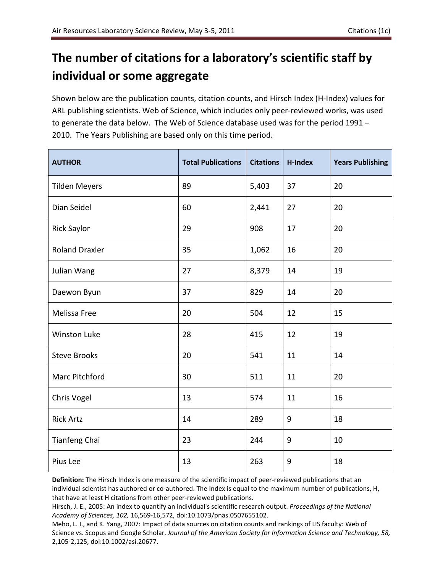## **The number of citations for a laboratory's scientific staff by individual or some aggregate**

Shown below are the publication counts, citation counts, and Hirsch Index (H-Index) values for ARL publishing scientists. Web of Science, which includes only peer-reviewed works, was used to generate the data below. The Web of Science database used was for the period 1991 – 2010. The Years Publishing are based only on this time period.

| <b>AUTHOR</b>         | <b>Total Publications</b> | <b>Citations</b> | <b>H-Index</b> | <b>Years Publishing</b> |
|-----------------------|---------------------------|------------------|----------------|-------------------------|
| <b>Tilden Meyers</b>  | 89                        | 5,403            | 37             | 20                      |
| Dian Seidel           | 60                        | 2,441            | 27             | 20                      |
| Rick Saylor           | 29                        | 908              | 17             | 20                      |
| <b>Roland Draxler</b> | 35                        | 1,062            | 16             | 20                      |
| Julian Wang           | 27                        | 8,379            | 14             | 19                      |
| Daewon Byun           | 37                        | 829              | 14             | 20                      |
| Melissa Free          | 20                        | 504              | 12             | 15                      |
| <b>Winston Luke</b>   | 28                        | 415              | 12             | 19                      |
| <b>Steve Brooks</b>   | 20                        | 541              | 11             | 14                      |
| Marc Pitchford        | 30                        | 511              | 11             | 20                      |
| Chris Vogel           | 13                        | 574              | 11             | 16                      |
| <b>Rick Artz</b>      | 14                        | 289              | 9              | 18                      |
| Tianfeng Chai         | 23                        | 244              | 9              | 10                      |
| Pius Lee              | 13                        | 263              | 9              | 18                      |

**Definition:** The Hirsch Index is one measure of the scientific impact of peer-reviewed publications that an individual scientist has authored or co-authored. The Index is equal to the maximum number of publications, H, that have at least H citations from other peer-reviewed publications.

Meho, L. I., and K. Yang, 2007: Impact of data sources on citation counts and rankings of LIS faculty: Web of Science vs. Scopus and Google Scholar. *Journal of the American Society for Information Science and Technology, 58,*  2,105-2,125, doi:10.1002/asi.20677.

Hirsch, J. E., 2005: An index to quantify an individual's scientific research output. *Proceedings of the National Academy of Sciences, 102,* 16,569-16,572, doi:10.1073/pnas.0507655102.